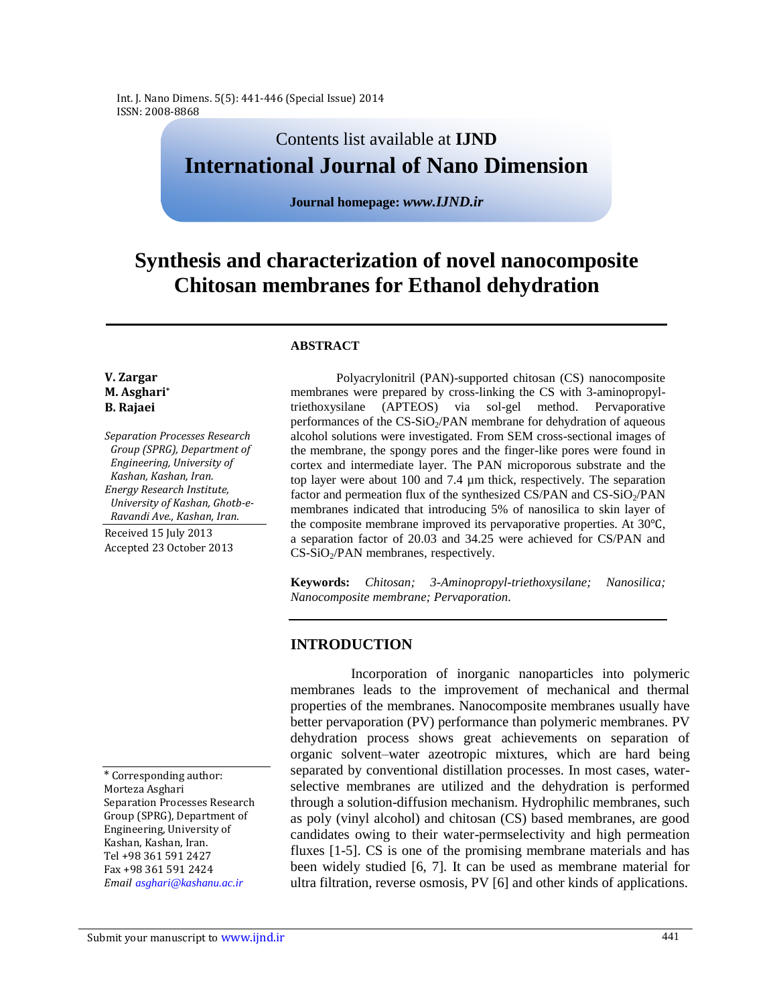Int. J. Nano Dimens. 5(5): 441-446 (Special Issue) 2014 ISSN: 2008-8868

# Contents list available at **IJND International Journal of Nano Dimension**

**Journal homepage:** *www.IJND.ir*

# **Synthesis and characterization of novel nanocomposite Chitosan membranes for Ethanol dehydration**

#### **ABSTRACT**

#### **V. Zargar M. Asghari\* B. Rajaei**

*Separation Processes Research Group (SPRG), Department of Engineering, University of Kashan, Kashan, Iran. Energy Research Institute, University of Kashan, Ghotb-e-Ravandi Ave., Kashan, Iran.*

Received 15 July 2013 Accepted 23 October 2013

\* Corresponding author: Morteza Asghari Separation Processes Research Group (SPRG), Department of Engineering, University of Kashan, Kashan, Iran. Tel +98 361 591 2427 Fax +98 361 591 2424 *Email asghari@kashanu.ac.ir*

Polyacrylonitril (PAN)-supported chitosan (CS) nanocomposite membranes were prepared by cross-linking the CS with 3-aminopropyltriethoxysilane (APTEOS) via sol-gel method. Pervaporative performances of the  $CS-SiO<sub>2</sub>/PAN$  membrane for dehydration of aqueous alcohol solutions were investigated. From SEM cross-sectional images of the membrane, the spongy pores and the finger-like pores were found in cortex and intermediate layer. The PAN microporous substrate and the top layer were about 100 and 7.4 µm thick, respectively. The separation factor and permeation flux of the synthesized CS/PAN and  $CS-SiO<sub>2</sub>/PAN$ membranes indicated that introducing 5% of nanosilica to skin layer of the composite membrane improved its pervaporative properties. At 30℃, a separation factor of 20.03 and 34.25 were achieved for CS/PAN and  $CS-SiO<sub>2</sub>/PAN$  membranes, respectively.

**Keywords:** *Chitosan; 3-Aminopropyl-triethoxysilane; Nanosilica; Nanocomposite membrane; Pervaporation.*

## **INTRODUCTION**

Incorporation of inorganic nanoparticles into polymeric membranes leads to the improvement of mechanical and thermal properties of the membranes. Nanocomposite membranes usually have better pervaporation (PV) performance than polymeric membranes. PV dehydration process shows great achievements on separation of organic solvent–water azeotropic mixtures, which are hard being separated by conventional distillation processes. In most cases, waterselective membranes are utilized and the dehydration is performed through a solution-diffusion mechanism. Hydrophilic membranes, such as poly (vinyl alcohol) and chitosan (CS) based membranes, are good candidates owing to their water-permselectivity and high permeation fluxes [1-5]. CS is one of the promising membrane materials and has been widely studied [6, 7]. It can be used as membrane material for ultra filtration, reverse osmosis, PV [6] and other kinds of applications.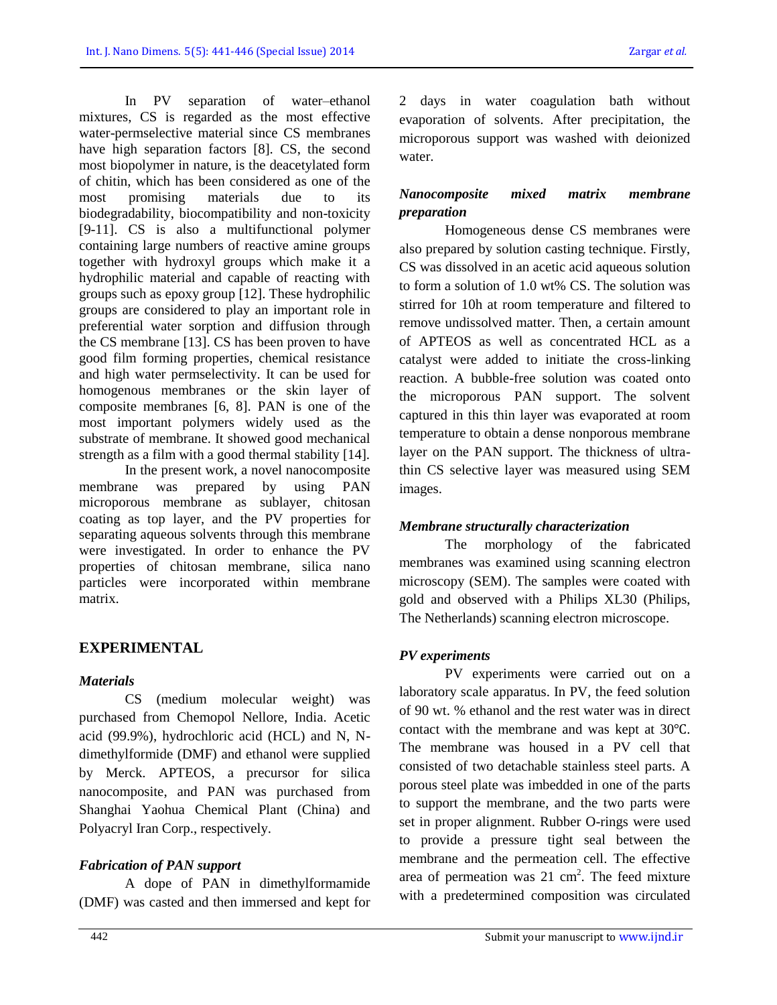In PV separation of water–ethanol mixtures, CS is regarded as the most effective water-permselective material since CS membranes have high separation factors [8]. CS, the second most biopolymer in nature, is the deacetylated form of chitin, which has been considered as one of the most promising materials due to its biodegradability, biocompatibility and non-toxicity [9-11]. CS is also a multifunctional polymer containing large numbers of reactive amine groups together with hydroxyl groups which make it a hydrophilic material and capable of reacting with groups such as epoxy group [12]. These hydrophilic groups are considered to play an important role in preferential water sorption and diffusion through the CS membrane [13]. CS has been proven to have good film forming properties, chemical resistance and high water permselectivity. It can be used for homogenous membranes or the skin layer of composite membranes [6, 8]. PAN is one of the most important polymers widely used as the substrate of membrane. It showed good mechanical strength as a film with a good thermal stability [14].

In the present work, a novel nanocomposite membrane was prepared by using PAN microporous membrane as sublayer, chitosan coating as top layer, and the PV properties for separating aqueous solvents through this membrane were investigated. In order to enhance the PV properties of chitosan membrane, silica nano particles were incorporated within membrane matrix.

# **EXPERIMENTAL**

## *Materials*

CS (medium molecular weight) was purchased from Chemopol Nellore, India. Acetic acid (99.9%), hydrochloric acid (HCL) and N, Ndimethylformide (DMF) and ethanol were supplied by Merck. APTEOS, a precursor for silica nanocomposite, and PAN was purchased from Shanghai Yaohua Chemical Plant (China) and Polyacryl Iran Corp., respectively.

## *Fabrication of PAN support*

A dope of PAN in dimethylformamide (DMF) was casted and then immersed and kept for 2 days in water coagulation bath without evaporation of solvents. After precipitation, the microporous support was washed with deionized water.

## *Nanocomposite mixed matrix membrane preparation*

Homogeneous dense CS membranes were also prepared by solution casting technique. Firstly, CS was dissolved in an acetic acid aqueous solution to form a solution of 1.0 wt% CS. The solution was stirred for 10h at room temperature and filtered to remove undissolved matter. Then, a certain amount of APTEOS as well as concentrated HCL as a catalyst were added to initiate the cross-linking reaction. A bubble-free solution was coated onto the microporous PAN support. The solvent captured in this thin layer was evaporated at room temperature to obtain a dense nonporous membrane layer on the PAN support. The thickness of ultrathin CS selective layer was measured using SEM images.

## *Membrane structurally characterization*

The morphology of the fabricated membranes was examined using scanning electron microscopy (SEM). The samples were coated with gold and observed with a Philips XL30 (Philips, The Netherlands) scanning electron microscope.

## *PV experiments*

PV experiments were carried out on a laboratory scale apparatus. In PV, the feed solution of 90 wt. % ethanol and the rest water was in direct contact with the membrane and was kept at 30℃. The membrane was housed in a PV cell that consisted of two detachable stainless steel parts. A porous steel plate was imbedded in one of the parts to support the membrane, and the two parts were set in proper alignment. Rubber O-rings were used to provide a pressure tight seal between the membrane and the permeation cell. The effective area of permeation was  $21 \text{ cm}^2$ . The feed mixture with a predetermined composition was circulated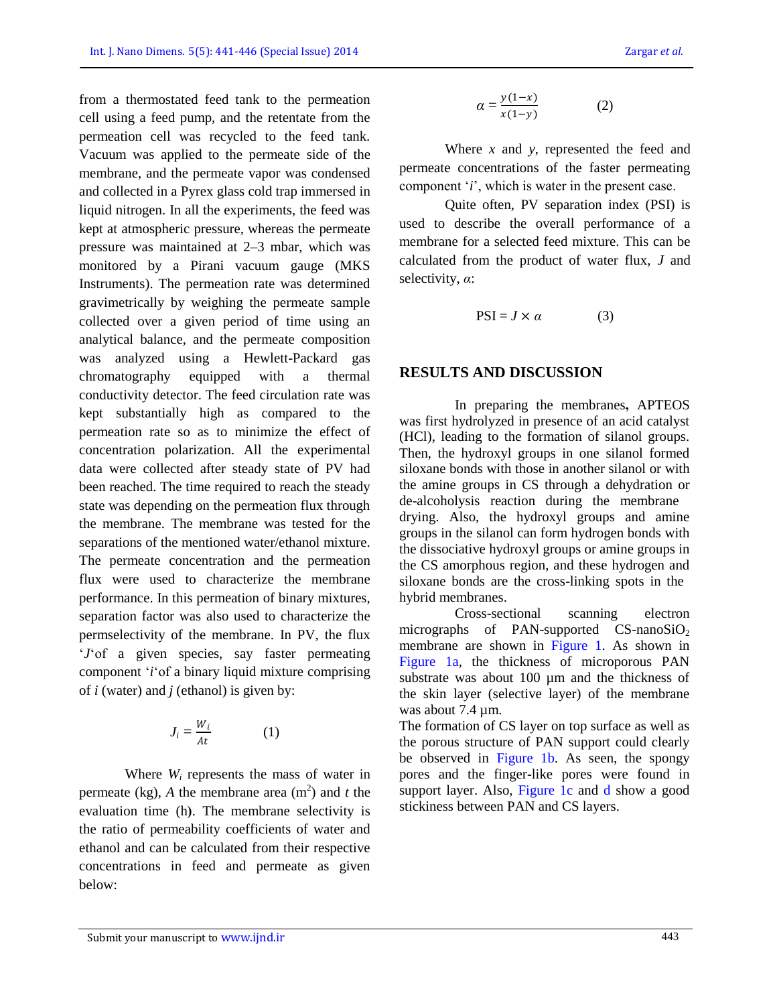from a thermostated feed tank to the permeation cell using a feed pump, and the retentate from the permeation cell was recycled to the feed tank. Vacuum was applied to the permeate side of the membrane, and the permeate vapor was condensed and collected in a Pyrex glass cold trap immersed in liquid nitrogen. In all the experiments, the feed was kept at atmospheric pressure, whereas the permeate pressure was maintained at 2–3 mbar, which was monitored by a Pirani vacuum gauge (MKS Instruments). The permeation rate was determined gravimetrically by weighing the permeate sample collected over a given period of time using an analytical balance, and the permeate composition was analyzed using a Hewlett-Packard gas chromatography equipped with a thermal conductivity detector. The feed circulation rate was kept substantially high as compared to the permeation rate so as to minimize the effect of concentration polarization. All the experimental data were collected after steady state of PV had been reached. The time required to reach the steady state was depending on the permeation flux through the membrane. The membrane was tested for the separations of the mentioned water/ethanol mixture. The permeate concentration and the permeation flux were used to characterize the membrane performance. In this permeation of binary mixtures, separation factor was also used to characterize the permselectivity of the membrane. In PV, the flux '*J*'of a given species, say faster permeating component '*i*'of a binary liquid mixture comprising of *i* (water) and *j* (ethanol) is given by:

$$
J_i = \frac{W_i}{At} \tag{1}
$$

Where *W<sup>i</sup>* represents the mass of water in permeate (kg), A the membrane area  $(m<sup>2</sup>)$  and *t* the evaluation time (h). The membrane selectivity is the ratio of permeability coefficients of water and ethanol and can be calculated from their respective concentrations in feed and permeate as given below:

$$
\alpha = \frac{y(1-x)}{x(1-y)}\tag{2}
$$

Where *x* and *y*, represented the feed and permeate concentrations of the faster permeating component '*i*', which is water in the present case.

Quite often, PV separation index (PSI) is used to describe the overall performance of a membrane for a selected feed mixture. This can be calculated from the product of water flux, *J* and selectivity, *α*:

$$
PSI = J \times \alpha \tag{3}
$$

#### **RESULTS AND DISCUSSION**

In preparing the membranes**,** APTEOS was first hydrolyzed in presence of an acid catalyst (HCl), leading to the formation of silanol groups. Then, the hydroxyl groups in one silanol formed siloxane bonds with those in another silanol or with the amine groups in CS through a dehydration or de-alcoholysis reaction during the membrane drying. Also, the hydroxyl groups and amine groups in the silanol can form hydrogen bonds with the dissociative hydroxyl groups or amine groups in the CS amorphous region, and these hydrogen and siloxane bonds are the cross-linking spots in the hybrid membranes.

Cross-sectional scanning electron micrographs of PAN-supported  $CS$ -nano $SiO<sub>2</sub>$ membrane are shown in Figure 1. As shown in Figure 1a, the thickness of microporous PAN substrate was about 100  $\mu$ m and the thickness of the skin layer (selective layer) of the membrane was about 7.4  $\mu$ m.

The formation of CS layer on top surface as well as the porous structure of PAN support could clearly be observed in Figure 1b. As seen, the spongy pores and the finger-like pores were found in support layer. Also, Figure 1c and d show a good stickiness between PAN and CS layers.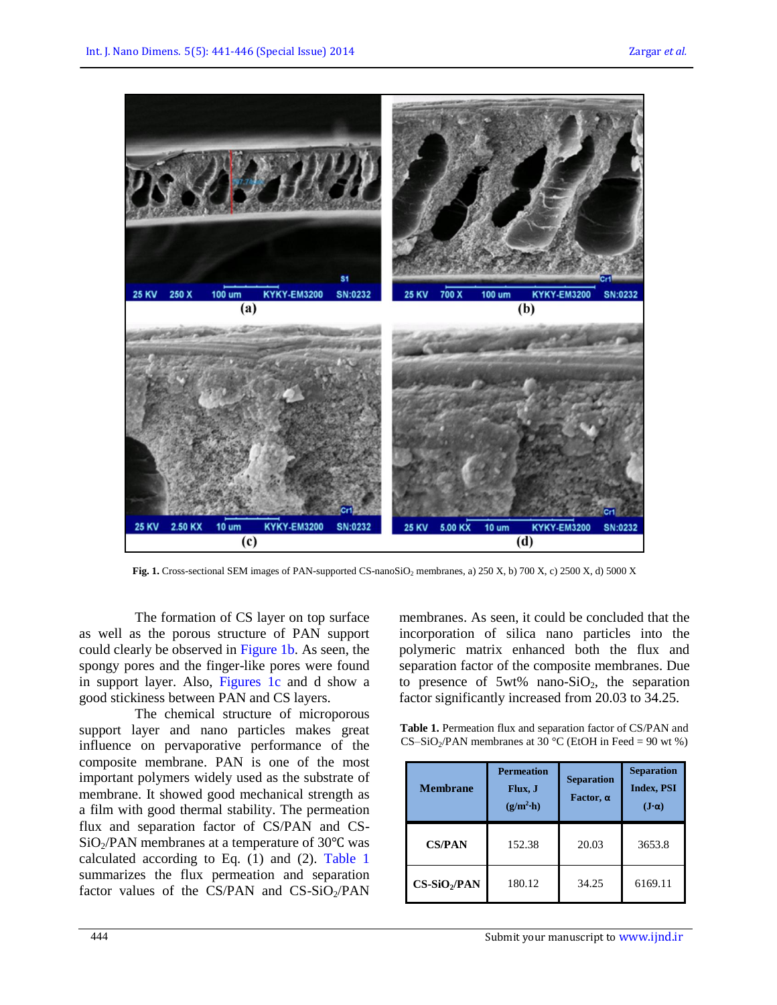

Fig. 1. Cross-sectional SEM images of PAN-supported CS-nanoSiO<sub>2</sub> membranes, a) 250 X, b) 700 X, c) 2500 X, d) 5000 X

The formation of CS layer on top surface as well as the porous structure of PAN support could clearly be observed in Figure 1b. As seen, the spongy pores and the finger-like pores were found in support layer. Also, Figures 1c and d show a good stickiness between PAN and CS layers.

The chemical structure of microporous support layer and nano particles makes great influence on pervaporative performance of the composite membrane. PAN is one of the most important polymers widely used as the substrate of membrane. It showed good mechanical strength as a film with good thermal stability. The permeation flux and separation factor of CS/PAN and CS- $SiO<sub>2</sub>/PAN$  membranes at a temperature of 30 $°C$  was calculated according to Eq. (1) and (2). Table 1 summarizes the flux permeation and separation factor values of the CS/PAN and  $CS-SiO<sub>2</sub>/PAN$ 

membranes. As seen, it could be concluded that the incorporation of silica nano particles into the polymeric matrix enhanced both the flux and separation factor of the composite membranes. Due to presence of  $5wt\%$  nano- $SiO<sub>2</sub>$ , the separation factor significantly increased from 20.03 to 34.25.

**Table 1.** Permeation flux and separation factor of CS/PAN and CS-SiO<sub>2</sub>/PAN membranes at 30 °C (EtOH in Feed = 90 wt %)

| <b>Membrane</b> | <b>Permeation</b><br>Flux, J<br>$(g/m^2 \cdot h)$ | <b>Separation</b><br>Factor, $\alpha$ | <b>Separation</b><br><b>Index, PSI</b><br>$(\mathbf{J}\cdot\boldsymbol{\alpha})$ |
|-----------------|---------------------------------------------------|---------------------------------------|----------------------------------------------------------------------------------|
| <b>CS/PAN</b>   | 152.38                                            | 20.03                                 | 3653.8                                                                           |
| $CS-SiO2/PAN$   | 180.12                                            | 34.25                                 | 6169.11                                                                          |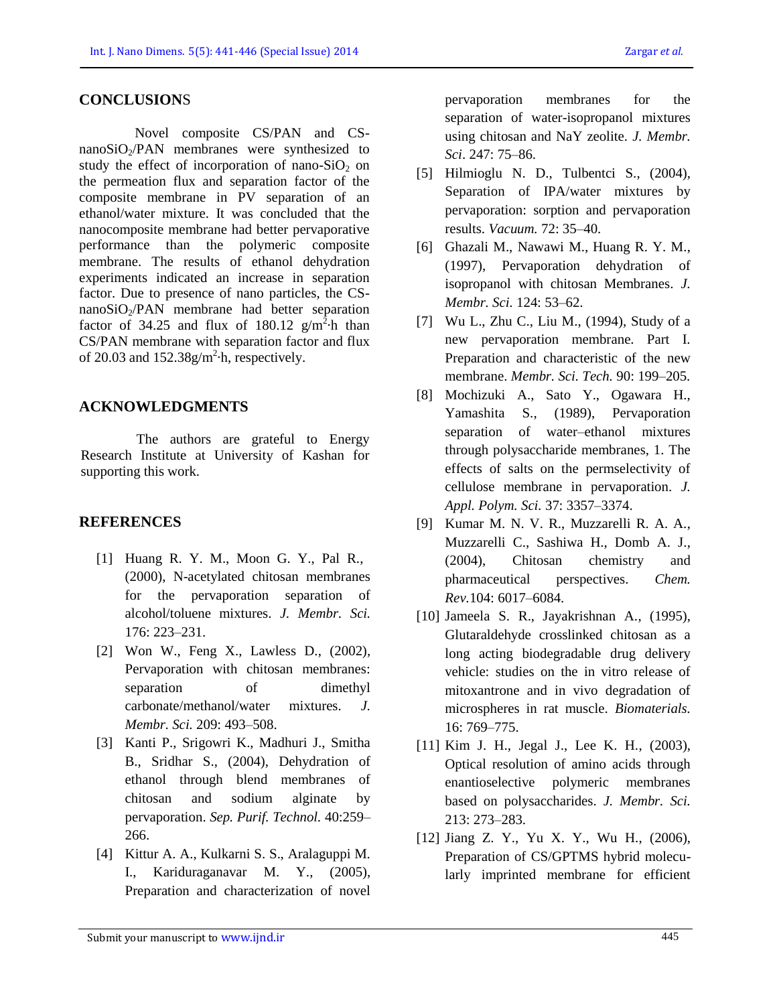#### **CONCLUSION**S

Novel composite CS/PAN and CSnano $SiO<sub>2</sub>/PAN$  membranes were synthesized to study the effect of incorporation of nano-SiO<sub>2</sub> on the permeation flux and separation factor of the composite membrane in PV separation of an ethanol/water mixture. It was concluded that the nanocomposite membrane had better pervaporative performance than the polymeric composite membrane. The results of ethanol dehydration experiments indicated an increase in separation factor. Due to presence of nano particles, the CS $nanoSiO<sub>2</sub>/PAN$  membrane had better separation factor of 34.25 and flux of 180.12  $g/m^2$  h than CS/PAN membrane with separation factor and flux of 20.03 and  $152.38g/m<sup>2</sup>$  h, respectively.

#### **ACKNOWLEDGMENTS**

The authors are grateful to Energy Research Institute at University of Kashan for supporting this work.

#### **REFERENCES**

- [1] Huang R. Y. M., Moon G. Y., Pal R., (2000), N-acetylated chitosan membranes for the pervaporation separation of alcohol/toluene mixtures. *J. Membr. Sci.* 176: 223–231.
- [2] Won W., Feng X., Lawless D., (2002), Pervaporation with chitosan membranes: separation of dimethyl carbonate/methanol/water mixtures. *J. Membr. Sci.* 209: 493–508.
- [3] Kanti P., Srigowri K., Madhuri J., Smitha B., Sridhar S., (2004), Dehydration of ethanol through blend membranes of chitosan and sodium alginate by pervaporation. *Sep. Purif. Technol.* 40:259– 266.
- [4] Kittur A. A., Kulkarni S. S., Aralaguppi M. I., Kariduraganavar M. Y., (2005), Preparation and characterization of novel

pervaporation membranes for the separation of water-isopropanol mixtures using chitosan and NaY zeolite. *J. Membr. Sci*. 247: 75–86.

- [5] Hilmioglu N. D., Tulbentci S., (2004), Separation of IPA/water mixtures by pervaporation: sorption and pervaporation results. *Vacuum.* 72: 35–40.
- [6] Ghazali M., Nawawi M., Huang R. Y. M., (1997), Pervaporation dehydration of isopropanol with chitosan Membranes. *J. Membr. Sci.* 124: 53–62.
- [7] Wu L., Zhu C., Liu M., (1994), Study of a new pervaporation membrane. Part I. Preparation and characteristic of the new membrane. *Membr. Sci. Tech.* 90: 199–205.
- [8] Mochizuki A., Sato Y., Ogawara H., Yamashita S., (1989), Pervaporation separation of water–ethanol mixtures through polysaccharide membranes, 1. The effects of salts on the permselectivity of cellulose membrane in pervaporation. *J. Appl. Polym. Sci.* 37: 3357–3374.
- [9] Kumar M. N. V. R., Muzzarelli R. A. A., Muzzarelli C., Sashiwa H., Domb A. J., (2004), Chitosan chemistry and pharmaceutical perspectives. *Chem. Rev.*104: 6017–6084.
- [10] Jameela S. R., Jayakrishnan A., (1995), Glutaraldehyde crosslinked chitosan as a long acting biodegradable drug delivery vehicle: studies on the in vitro release of mitoxantrone and in vivo degradation of microspheres in rat muscle. *Biomaterials.* 16: 769–775.
- [11] Kim J. H., Jegal J., Lee K. H., (2003), Optical resolution of amino acids through enantioselective polymeric membranes based on polysaccharides. *J. Membr. Sci.* 213: 273–283.
- [12] Jiang Z. Y., Yu X. Y., Wu H., (2006), Preparation of CS/GPTMS hybrid molecularly imprinted membrane for efficient